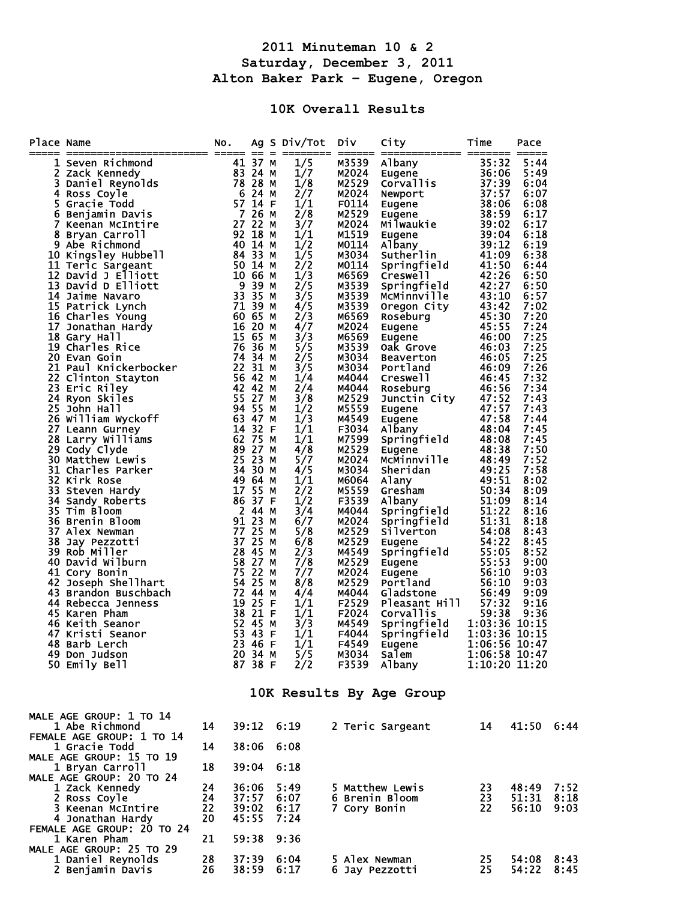## **2011 Minuteman 10 & 2 Saturday, December 3, 2011 Alton Baker Park – Eugene, Oregon**

## **10K Overall Results**

| Place Name               |                                                                                                                                                                                                                                                                                     | NO.                        |                                           |  | Ag S Div/Tot                                                                                                                                                                                                                                                                                                                                                                        | Div                                                                                                                                                                                                                                                                                                                                                                                                                                                                                                                                                                                 | City                                                                                                                                                                                                                                                                                                                                                                                                                                                                                                                                                                                                                                                                        | Time                                                                     | Pace                                                                                                                                                                                                                                                                                                                                                                 |                      |
|--------------------------|-------------------------------------------------------------------------------------------------------------------------------------------------------------------------------------------------------------------------------------------------------------------------------------|----------------------------|-------------------------------------------|--|-------------------------------------------------------------------------------------------------------------------------------------------------------------------------------------------------------------------------------------------------------------------------------------------------------------------------------------------------------------------------------------|-------------------------------------------------------------------------------------------------------------------------------------------------------------------------------------------------------------------------------------------------------------------------------------------------------------------------------------------------------------------------------------------------------------------------------------------------------------------------------------------------------------------------------------------------------------------------------------|-----------------------------------------------------------------------------------------------------------------------------------------------------------------------------------------------------------------------------------------------------------------------------------------------------------------------------------------------------------------------------------------------------------------------------------------------------------------------------------------------------------------------------------------------------------------------------------------------------------------------------------------------------------------------------|--------------------------------------------------------------------------|----------------------------------------------------------------------------------------------------------------------------------------------------------------------------------------------------------------------------------------------------------------------------------------------------------------------------------------------------------------------|----------------------|
|                          | ace Name<br>International and the second and the second of the second and the second and a pain of the second a S 2 ack kennamic matrix of the senant metal of the senant carroll of the senant carroll of the senant carroll an<br>48 Barb Lercn<br>49 Don Judson<br>50 Emily Bell |                            | 23 46 F<br>20 34 M<br>87 38 F             |  | 1/5<br>1/7<br>1/8<br>2/7<br>1/1<br>2/8<br>3/7<br>1/1<br>1/2<br>1/5<br>2/2<br>1/3<br>$\overline{2}/\overline{5}$<br>3/5<br>4/5<br>2/3<br>4/7<br>3/3<br>5/5<br>2/5<br>3/5<br>1/4<br>2/4<br>3/8<br>1/2<br>1/3<br>1/1<br>1/1<br>4/8<br>5/7<br>4/5<br>1/1<br>2/2<br>1/2<br>3/4<br>6/7<br>5/8<br>6/8<br>2/3<br>7/8<br>7/7<br>8/8<br>4/4<br>1/1<br>1/1<br>3/3<br>1/1<br>1/ L<br>5/5<br>2/2 | $\qquad \qquad \blacksquare \blacksquare \blacksquare \blacksquare \blacksquare \blacksquare \blacksquare$<br>M3539<br>M2024<br>M2529<br>M2024<br>F0114<br>M2529<br>M2024<br>M1519<br>M0114<br>M3034<br>M0114<br>M6569<br>M3539<br>M3539<br>M3539<br>M6569<br>M2024<br>M6569<br>M3539<br>M3034<br>M3034<br>M4044<br>M4044<br>M2529<br>M5559<br>M4549<br>F3034<br>M7599<br>M2529<br>M2024<br>M3034<br>M6064<br>M5559<br>F3539<br>M4044<br>M2024<br>M2529<br>M2529<br>M4549<br>M2529<br>M2024<br>M2529<br>M4044<br>F2529<br>F2024<br>M4549<br>F4044<br><b>F4549</b><br>M3034<br>F3539 | ============= ======= =====<br>Portianu<br>Creswell<br>Roseburg 46:56<br>Junctin City 47:52<br>Eugene 47:57<br>Eugene 47:58<br>Albany 48:08<br>Springfield 48:08<br>Eugene 48:38<br>Eugene 48:38<br>Albany 48:08<br>Albany 48:08<br>Albany 48:08<br>Albany 48:08<br>Albany 48:08<br>Eugene 48:38<br>McMinnville 48:49<br>Sheridan 49:25<br>Alany 49:51<br>Gresham 50:34<br>Abbany 51:09<br>Abbany 51:09<br>Appringfield 51:22<br>Springfield 51:31<br>Silverton 54:08<br>Eugene 54:22<br>Springfield 55:05<br>Eugene 55:53<br>Eugene 55:53<br><br>Pleas <u>ant</u> Hill<br>Corvallis<br>Springfield 1:03:36 10:15<br>Springfield 1:03:36 10:15<br>Eugene<br>Salem<br>Albany | 57:32<br>59:38<br><b>1:00:50 10:47</b><br>1:06:58 10:47<br>1:10:20 11:20 | 5:44<br>5:49<br>6:04<br>6:07<br>6:08<br>6:17<br>6:17<br>6:18<br>6:19<br>6:38<br>6:44<br>6:50<br>6:50<br>6:57<br>7:02<br>7:20<br>7:24<br>7:25<br>7:25<br>7:25<br>7:26<br>7:32<br>7:34<br>7:43<br>7:43<br>7:44<br>7:45<br>7:45<br>7:50<br>7:52<br>7:58<br>8:02<br>8:09<br>8:14<br>8:16<br>8:18<br>8:43<br>8:45<br>8:52<br>9:00<br>9:03<br>9:03<br>9:09<br>9:16<br>9:36 |                      |
| 10K Results By Age Group |                                                                                                                                                                                                                                                                                     |                            |                                           |  |                                                                                                                                                                                                                                                                                                                                                                                     |                                                                                                                                                                                                                                                                                                                                                                                                                                                                                                                                                                                     |                                                                                                                                                                                                                                                                                                                                                                                                                                                                                                                                                                                                                                                                             |                                                                          |                                                                                                                                                                                                                                                                                                                                                                      |                      |
|                          | MALE AGE GROUP: 1 TO 14<br>1 Abe Richmond<br>FEMALE AGE GROUP: 1 TO 14<br><b>1 Gracie Todd</b>                                                                                                                                                                                      | 14<br>14                   | 39:12<br>38:06                            |  | 6:19<br>6:08                                                                                                                                                                                                                                                                                                                                                                        |                                                                                                                                                                                                                                                                                                                                                                                                                                                                                                                                                                                     | 2 Teric Sargeant                                                                                                                                                                                                                                                                                                                                                                                                                                                                                                                                                                                                                                                            | 14                                                                       | 41:50                                                                                                                                                                                                                                                                                                                                                                | 6:44                 |
|                          | MALE AGE GROUP: 15 TO 19<br>1 Bryan Carroll<br>MALE AGE GROUP: 20 TO 24<br>1 Zack Kennedy<br>2 Ross Coyle<br>3 Keenan McIntire<br>4 Jonathan Hardy                                                                                                                                  | 18<br>24<br>24<br>22<br>20 | 39:04<br>36:06<br>37:57<br>39:02<br>45:55 |  | 6:18<br>5:49<br>6:07<br>6:17<br>7:24                                                                                                                                                                                                                                                                                                                                                | 7 Cory Bonin                                                                                                                                                                                                                                                                                                                                                                                                                                                                                                                                                                        | 5 Matthew Lewis<br>6 Brenin Bloom                                                                                                                                                                                                                                                                                                                                                                                                                                                                                                                                                                                                                                           | 23<br>23<br>22                                                           | 48:49<br>51:31<br>56:10                                                                                                                                                                                                                                                                                                                                              | 7:52<br>8:18<br>9:03 |
|                          | FEMALE AGE GROUP: 20 TO 24<br>1 Karen Pham<br>MALE AGE GROUP: 25 TO 29<br>1 Daniel Reynolds<br>2 Benjamin Davis                                                                                                                                                                     | 21<br>28<br>26             | 59:38<br>37:39<br>38:59                   |  | 9:36<br>6:04<br>6:17                                                                                                                                                                                                                                                                                                                                                                | 5 Alex Newman<br>6 Jay Pezzotti                                                                                                                                                                                                                                                                                                                                                                                                                                                                                                                                                     |                                                                                                                                                                                                                                                                                                                                                                                                                                                                                                                                                                                                                                                                             | 25<br>25                                                                 | 54:08<br>54:22                                                                                                                                                                                                                                                                                                                                                       | 8:43<br>8:45         |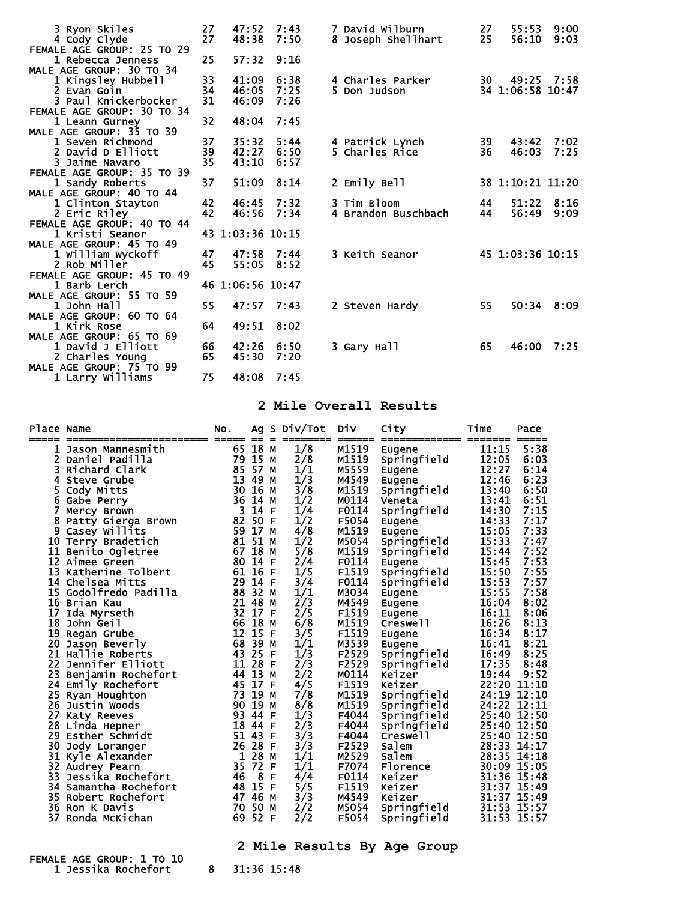| 3 Ryon Skiles                                 | 27<br>27 | 47:52<br>48:38   | 7:43<br>7:50 | 7 David Wilburn     | 27<br>25 | 55:53<br>56:10   | 9:00<br>9:03 |
|-----------------------------------------------|----------|------------------|--------------|---------------------|----------|------------------|--------------|
| 4 Cody Clyde<br>FEMALE AGE GROUP: 25 TO 29    |          |                  |              | 8 Joseph Shellhart  |          |                  |              |
| 1 Rebecca Jenness                             | 25       | 57:32            | 9:16         |                     |          |                  |              |
| MALE AGE GROUP: 30 TO 34                      |          |                  |              |                     |          |                  |              |
| 1 Kingsley Hubbell                            | 33       | 41:09            | 6:38         | 4 Charles Parker    | 30 —     | 49:25 7:58       |              |
| 2 Evan Goin                                   | 34       | 46:05            | 7:25         | 5 Don Judson        |          | 34 1:06:58 10:47 |              |
| 3 Paul Knickerbocker                          | 31       | 46:09            | 7:26         |                     |          |                  |              |
| FEMALE AGE GROUP: 30 TO 34                    |          |                  |              |                     |          |                  |              |
| 1 Leann Gurney                                | 32       | 48:04            | 7:45         |                     |          |                  |              |
| MALE AGE GROUP: 35 TO 39                      |          |                  |              |                     |          |                  |              |
| 1 Seven Richmond                              | 37       | 35:32            | 5:44         | 4 Patrick Lynch     | 39       | 43:42            | 7:02         |
| 2 David D Elliott                             | 39       | 42:27            | 6:50         | 5 Charles Rice      | 36       | 46:03            | 7:25         |
| 3 Jaime Navaro                                | 35       | 43:10            | 6:57         |                     |          |                  |              |
| FEMALE AGE GROUP: 35 TO 39                    |          |                  |              |                     |          |                  |              |
| 1 Sandy Roberts                               | 37       | 51:09            | 8:14         | 2 Emily Bell        |          | 38 1:10:21 11:20 |              |
| MALE AGE GROUP: 40 TO 44<br>1 Clinton Stayton | 42       | 46:45 7:32       |              | 3 Tim Bloom         | 44       | 51:22            | 8:16         |
| 2 Eric Riley                                  | 42       | 46:56            | 7:34         | 4 Brandon Buschbach | 44       | 56:49            | 9:09         |
| FEMALE AGE GROUP: 40 TO 44                    |          |                  |              |                     |          |                  |              |
| 1 Kristi Seanor                               |          | 43 1:03:36 10:15 |              |                     |          |                  |              |
| MALE AGE GROUP: 45 TO 49                      |          |                  |              |                     |          |                  |              |
| 1 William Wyckoff                             | 47       | 47:58            | 7:44         | 3 Keith Seanor      |          | 45 1:03:36 10:15 |              |
| 2 Rob Miller                                  | 45       | 55:05            | 8:52         |                     |          |                  |              |
| FEMALE AGE GROUP: 45 TO 49                    |          |                  |              |                     |          |                  |              |
| 1 Barb Lerch                                  |          | 46 1:06:56 10:47 |              |                     |          |                  |              |
| MALE AGE GROUP: 55 TO 59                      |          |                  |              |                     |          |                  |              |
| 1 John Hall                                   | 55       | 47:57            | 7:43         | 2 Steven Hardy      | 55       |                  | 50:34 8:09   |
| MALE AGE GROUP: 60 TO 64                      |          |                  |              |                     |          |                  |              |
| 1 Kirk Rose                                   | 64       | 49:51            | 8:02         |                     |          |                  |              |
| MALE AGE GROUP: 65 TO 69                      |          |                  |              |                     |          |                  |              |
| 1 David J Elliott                             | 66       | 42:26            | 6:50         | 3 Gary Hall         | 65       | 46:00            | 7:25         |
| 2 Charles Young                               | 65       | 45:30            | 7:20         |                     |          |                  |              |
| MALE AGE GROUP: 75 TO 99                      |          |                  |              |                     |          |                  |              |
| 1 Larry Williams                              | 75       | 48:08            | 7:45         |                     |          |                  |              |

## **2 Mile Overall Results**

| Place Name     |                          | NO.                        |               |    | Ag S Div/Tot | <b>Div</b> | City                 | Time     | Pace                       |
|----------------|--------------------------|----------------------------|---------------|----|--------------|------------|----------------------|----------|----------------------------|
| _____          |                          |                            |               |    |              |            | ====== ============= | -------- | =====                      |
| 1              | Jason Mannesmith         |                            | 65 18 M       |    | 1/8          | M1519      | Eugene               | 11:15    | 5:38                       |
| 2 <sup>1</sup> | Daniel Padilla           |                            | 79 15         | M  | 2/8          | M1519      | Springfield          | 12:05    | 6:03                       |
| 3              | Richard Clark            | 85                         | 57            | M  | 1/1          | M5559      | Eugene               | 12:27    | 6:14                       |
| 4              | Steve Grube              | 13                         | 49            | M  | 1/3          | M4549      | Eugene               | 12:46    | 6:23                       |
| 5              | Cody Mitts               |                            | 30 16         | M  | 3/8          | M1519      | Springfield          | 13:40    | 6:50                       |
|                | 6 Gabe Perry             |                            | 36 14         | М  | 1/2          | M0114      | Veneta               | 13:41    | 6:51                       |
| 7              | Mercy Brown              | $\overline{\phantom{a}}$ 3 | 14            | F  | 1/4          | F0114      | Springfield          | 14:30    | 7:15                       |
| 8              | Patty Gierga Brown 82 50 |                            |               | -F | 1/2          | F5054      | Eugene               | 14:33    | 7:17                       |
| 9              | Casey Willits            |                            | 59 17 M       |    | 4/8          | M1519      | Eugene               | 15:05    | 7:33                       |
|                | 10 Terry Bradetich       |                            | 81 51         | M  | 1/2          | M5054      | Springfield          | 15:33    | 7:47                       |
|                | 11 Benito Ogletree       | 67                         | 18            | M  | 5/8          | M1519      | Springfield          | 15:44    | 7:52                       |
|                | 12 Aimee Green           | 80                         | 14            | F  | 2/4          | F0114      | Eugene               | 15:45    | 7:53                       |
| 13             | Katherine Tolbert        | 61 16                      |               | F  | 1/5          | F1519      | Springfield          | 15:50    | 7:55                       |
|                | 14 Chelsea Mitts         |                            | 29 14         | F  | 3/4          | F0114      | Springfield          | 15:53    | 7:57                       |
|                | 15 Godolfredo Padilla    | 88                         | 32            | M  | 1/1          | M3034      | Eugene               | 15:55    | 7:58                       |
| 16             | Brian Kau                | 21                         | 48            | M  | 2/3          | M4549      | Eugene               | 16:04    | 8:02                       |
| 17             | Ida Myrseth              | 32                         | 17            | E  | 2/5          | F1519      | Eugene               | 16:11    | 8:06                       |
| 18             | John Geil                | 66 18                      |               | M  | 6/8          | M1519      | Creswell             | 16:26    | 8:13                       |
|                | 19 Regan Grube           | 12 15                      |               | E  | 3/5          | F1519      | Eugene               | 16:34    | 8:17                       |
| 20             | Jason Beverly            | 68                         | 39            | M  | 1/1          | M3539      | Eugene               | 16:41    | 8:21                       |
|                | 21 Hallie Roberts        |                            | 43 25 F       |    | 1/3          | F2529      | Springfield          | 16:49    | 8:25                       |
|                | 22 Jennifer Elliott      | 11 28                      |               | F  | 2/3          | F2529      | Springfield          | 17:35    | 8:48                       |
| 23             | Beniamin Rochefort       |                            | 44 13         | M  | 2/2          | M0114      | Keizer               | 19:44    | 9:52                       |
| 24             | <b>Emily Rochefort</b>   | 45 17                      |               | E  | 4/5          | F1519      | Keizer               |          | 22:20 11:10                |
| 25             | Ryan Houghton            | 73 19                      |               | M  | 7/8          | M1519      | Springfield          |          | 24:19 12:10                |
|                | 26 Justin Woods          | 90                         | 19            | M  | 8/8          | M1519      | Springfield          |          | 24:22 12:11                |
|                | 27 Katy Reeves           |                            | 93 44         | F  | 1/3          | F4044      | Springfield          |          | 25:40 12:50                |
|                | 28 Linda Hepner          | 18                         | -44           | F  | 2/3          | F4044      | Springfield          |          | 25:40 12:50                |
| 29             | Esther Schmidt           |                            | 51 43         | E  | 3/3          | F4044      | Creswell             |          | 25:40 12:50                |
| 30             | Jody Loranger            |                            | 26 28 F       |    | 3/3          | F2529      | Salem                |          | 28:33 14:17                |
|                | 31 Kyle Alexander        | 1 28                       |               | M  | 1/1          | M2529      | Salem                |          | 28:35 14:18                |
|                | 32 Audrey Pearn          |                            | $35 \bar{72}$ | F  | 1/1          | F7074      | Florence             |          | 30:09 15:05                |
| 33             | Jessika Rochefort        | 46                         | 8             | E  | 4/4          | F0114      | Keizer               |          | 31:36 15:48                |
|                | 34 Samantha Rochefort    |                            | 48 15 F       |    | 5/5          | F1519      | Keizer               |          |                            |
|                | 35 Robert Rochefort      |                            | 47 46         | M  | 3/3          | M4549      | Keizer               |          | 31:37 15:49<br>31:37 15:49 |
| 36             | Ron K Davis              | 70                         | 50            | M  | 2/2          | M5054      | Springfield          |          | 31:53 15:57                |
| 37             | Ronda McKichan           | 69                         | 52            | F  | 2/2          | F5054      | Springfield          |          | 31:53 15:57                |
|                |                          |                            |               |    |              |            |                      |          |                            |
|                |                          | $\sim$                     | .             |    |              |            |                      |          |                            |

## **2 Mile Results By Age Group**  FEMALE AGE GROUP: 1 TO 10 1 Jessika Rochefort 8 31:36 15:48